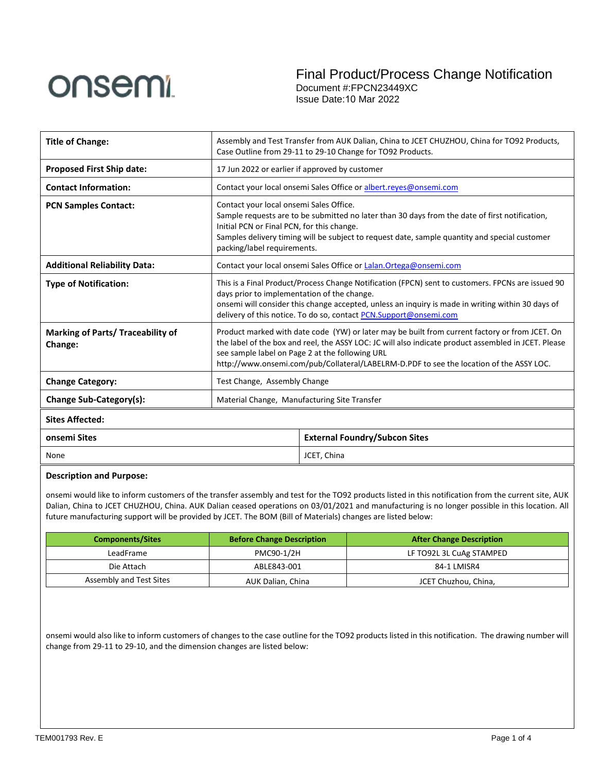

Final Product/Process Change Notification Document #:FPCN23449XC

Issue Date:10 Mar 2022

| <b>Title of Change:</b>                             | Assembly and Test Transfer from AUK Dalian, China to JCET CHUZHOU, China for TO92 Products,<br>Case Outline from 29-11 to 29-10 Change for TO92 Products.                                                                                                                                                                                            |                                      |  |
|-----------------------------------------------------|------------------------------------------------------------------------------------------------------------------------------------------------------------------------------------------------------------------------------------------------------------------------------------------------------------------------------------------------------|--------------------------------------|--|
| <b>Proposed First Ship date:</b>                    | 17 Jun 2022 or earlier if approved by customer                                                                                                                                                                                                                                                                                                       |                                      |  |
| <b>Contact Information:</b>                         | Contact your local onsemi Sales Office or albert.reyes@onsemi.com                                                                                                                                                                                                                                                                                    |                                      |  |
| <b>PCN Samples Contact:</b>                         | Contact your local onsemi Sales Office.<br>Sample requests are to be submitted no later than 30 days from the date of first notification,<br>Initial PCN or Final PCN, for this change.<br>Samples delivery timing will be subject to request date, sample quantity and special customer<br>packing/label requirements.                              |                                      |  |
| <b>Additional Reliability Data:</b>                 | Contact your local onsemi Sales Office or Lalan. Ortega@onsemi.com                                                                                                                                                                                                                                                                                   |                                      |  |
| <b>Type of Notification:</b>                        | This is a Final Product/Process Change Notification (FPCN) sent to customers. FPCNs are issued 90<br>days prior to implementation of the change.<br>onsemi will consider this change accepted, unless an inquiry is made in writing within 30 days of<br>delivery of this notice. To do so, contact PCN.Support@onsemi.com                           |                                      |  |
| <b>Marking of Parts/ Traceability of</b><br>Change: | Product marked with date code (YW) or later may be built from current factory or from JCET. On<br>the label of the box and reel, the ASSY LOC: JC will also indicate product assembled in JCET. Please<br>see sample label on Page 2 at the following URL<br>http://www.onsemi.com/pub/Collateral/LABELRM-D.PDF to see the location of the ASSY LOC. |                                      |  |
| <b>Change Category:</b>                             | Test Change, Assembly Change                                                                                                                                                                                                                                                                                                                         |                                      |  |
| Change Sub-Category(s):                             | Material Change, Manufacturing Site Transfer                                                                                                                                                                                                                                                                                                         |                                      |  |
| <b>Sites Affected:</b>                              |                                                                                                                                                                                                                                                                                                                                                      |                                      |  |
| onsemi Sites                                        |                                                                                                                                                                                                                                                                                                                                                      | <b>External Foundry/Subcon Sites</b> |  |
| None                                                |                                                                                                                                                                                                                                                                                                                                                      | JCET, China                          |  |

### **Description and Purpose:**

onsemi would like to inform customers of the transfer assembly and test for the TO92 products listed in this notification from the current site, AUK Dalian, China to JCET CHUZHOU, China. AUK Dalian ceased operations on 03/01/2021 and manufacturing is no longer possible in this location. All future manufacturing support will be provided by JCET. The BOM (Bill of Materials) changes are listed below:

| <b>Components/Sites</b> | <b>Before Change Description</b> | <b>After Change Description</b> |
|-------------------------|----------------------------------|---------------------------------|
| LeadFrame               | PMC90-1/2H                       | LF TO92L 3L CuAg STAMPED        |
| Die Attach              | ABLE843-001                      | 84-1 LMISR4                     |
| Assembly and Test Sites | AUK Dalian, China                | JCET Chuzhou, China,            |

onsemi would also like to inform customers of changes to the case outline for the TO92 products listed in this notification. The drawing number will change from 29-11 to 29-10, and the dimension changes are listed below: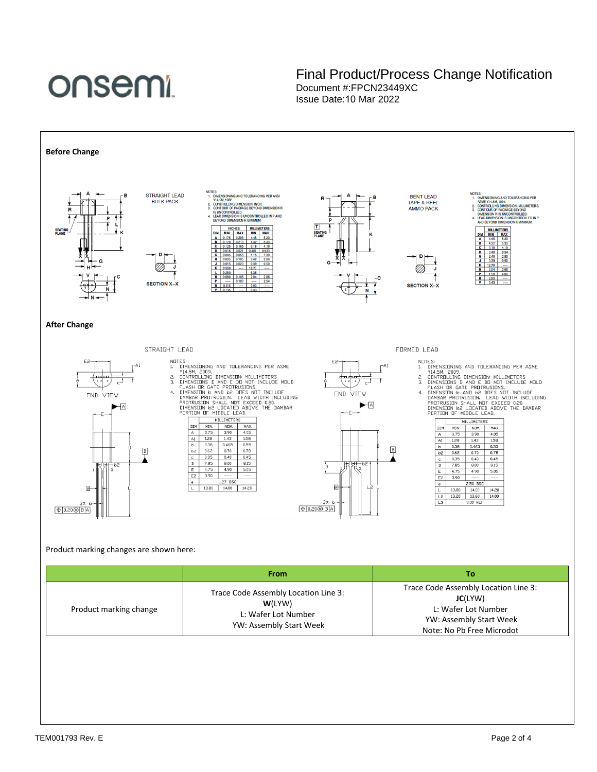# onsemi.

## Final Product/Process Change Notification

Document #:FPCN23449XC Issue Date:10 Mar 2022

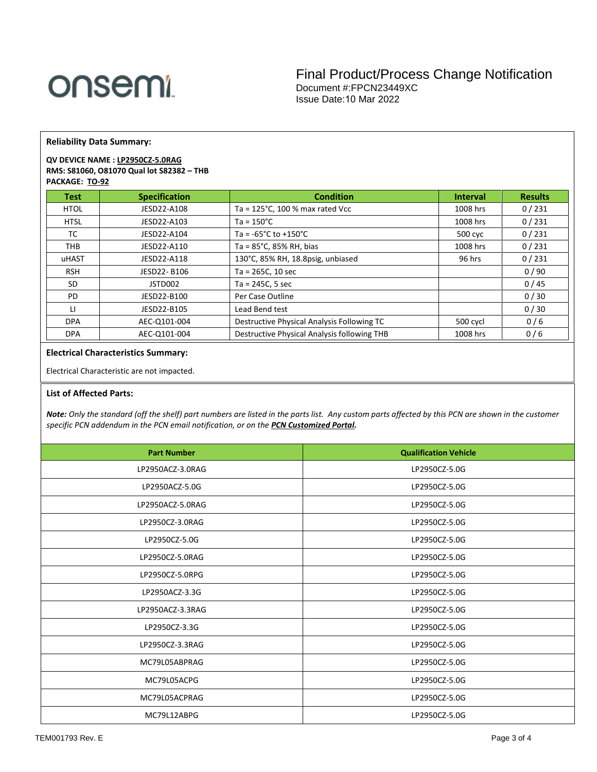

#### **Reliability Data Summary:**

#### **QV DEVICE NAME : LP2950CZ-5.0RAG RMS: S81060, O81070 Qual lot S82382 – THB PACKAGE: TO-92**

| <b>Test</b> | <b>Specification</b> | <b>Condition</b>                            | <b>Interval</b> | <b>Results</b> |
|-------------|----------------------|---------------------------------------------|-----------------|----------------|
| <b>HTOL</b> | JESD22-A108          | Ta = $125^{\circ}$ C, 100 % max rated Vcc   | 1008 hrs        | 0/231          |
| <b>HTSL</b> | JESD22-A103          | $Ta = 150^{\circ}C$                         | 1008 hrs        | 0/231          |
| TC          | JESD22-A104          | Ta = $-65^{\circ}$ C to $+150^{\circ}$ C    | 500 cyc         | 0/231          |
| THB         | JESD22-A110          | Ta = $85^{\circ}$ C, $85\%$ RH, bias        | 1008 hrs        | 0/231          |
| uHAST       | JESD22-A118          | 130°C, 85% RH, 18.8psig, unbiased           | 96 hrs          | 0/231          |
| <b>RSH</b>  | JESD22-B106          | $Ta = 265C, 10 sec$                         |                 | 0/90           |
| <b>SD</b>   | JSTD002              | $Ta = 245C, 5 sec$                          |                 | 0/45           |
| PD.         | JESD22-B100          | Per Case Outline                            |                 | 0/30           |
| п           | JESD22-B105          | Lead Bend test                              |                 | 0/30           |
| <b>DPA</b>  | AEC-Q101-004         | Destructive Physical Analysis Following TC  | 500 cycl        | 0/6            |
| <b>DPA</b>  | AEC-Q101-004         | Destructive Physical Analysis following THB | 1008 hrs        | 0/6            |

#### **Electrical Characteristics Summary:**

Electrical Characteristic are not impacted.

#### **List of Affected Parts:**

*Note: Only the standard (off the shelf) part numbers are listed in the parts list. Any custom parts affected by this PCN are shown in the customer specific PCN addendum in the PCN email notification, or on the [PCN Customized Portal.](https://www.onsemi.com/PowerSolutions/pcn.do)*

| <b>Part Number</b> | <b>Qualification Vehicle</b> |
|--------------------|------------------------------|
| LP2950ACZ-3.0RAG   | LP2950CZ-5.0G                |
| LP2950ACZ-5.0G     | LP2950CZ-5.0G                |
| LP2950ACZ-5.0RAG   | LP2950CZ-5.0G                |
| LP2950CZ-3.0RAG    | LP2950CZ-5.0G                |
| LP2950CZ-5.0G      | LP2950CZ-5.0G                |
| LP2950CZ-5.0RAG    | LP2950CZ-5.0G                |
| LP2950CZ-5.0RPG    | LP2950CZ-5.0G                |
| LP2950ACZ-3.3G     | LP2950CZ-5.0G                |
| LP2950ACZ-3.3RAG   | LP2950CZ-5.0G                |
| LP2950CZ-3.3G      | LP2950CZ-5.0G                |
| LP2950CZ-3.3RAG    | LP2950CZ-5.0G                |
| MC79L05ABPRAG      | LP2950CZ-5.0G                |
| MC79L05ACPG        | LP2950CZ-5.0G                |
| MC79L05ACPRAG      | LP2950CZ-5.0G                |
| MC79L12ABPG        | LP2950CZ-5.0G                |